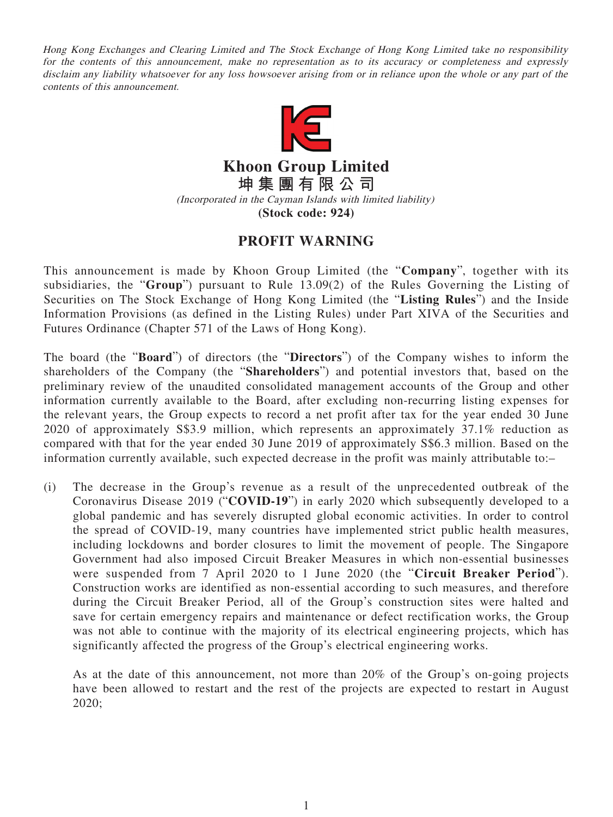Hong Kong Exchanges and Clearing Limited and The Stock Exchange of Hong Kong Limited take no responsibility for the contents of this announcement, make no representation as to its accuracy or completeness and expressly disclaim any liability whatsoever for any loss howsoever arising from or in reliance upon the whole or any part of the contents of this announcement.



**Khoon Group Limited 坤集團有限公司** (Incorporated in the Cayman Islands with limited liability) **(Stock code: 924)**

## **PROFIT WARNING**

This announcement is made by Khoon Group Limited (the "**Company**", together with its subsidiaries, the "**Group**") pursuant to Rule 13.09(2) of the Rules Governing the Listing of Securities on The Stock Exchange of Hong Kong Limited (the "**Listing Rules**") and the Inside Information Provisions (as defined in the Listing Rules) under Part XIVA of the Securities and Futures Ordinance (Chapter 571 of the Laws of Hong Kong).

The board (the "**Board**") of directors (the "**Directors**") of the Company wishes to inform the shareholders of the Company (the "**Shareholders**") and potential investors that, based on the preliminary review of the unaudited consolidated management accounts of the Group and other information currently available to the Board, after excluding non-recurring listing expenses for the relevant years, the Group expects to record a net profit after tax for the year ended 30 June 2020 of approximately S\$3.9 million, which represents an approximately 37.1% reduction as compared with that for the year ended 30 June 2019 of approximately S\$6.3 million. Based on the information currently available, such expected decrease in the profit was mainly attributable to:–

(i) The decrease in the Group's revenue as a result of the unprecedented outbreak of the Coronavirus Disease 2019 ("**COVID-19**") in early 2020 which subsequently developed to a global pandemic and has severely disrupted global economic activities. In order to control the spread of COVID-19, many countries have implemented strict public health measures, including lockdowns and border closures to limit the movement of people. The Singapore Government had also imposed Circuit Breaker Measures in which non-essential businesses were suspended from 7 April 2020 to 1 June 2020 (the "**Circuit Breaker Period**"). Construction works are identified as non-essential according to such measures, and therefore during the Circuit Breaker Period, all of the Group's construction sites were halted and save for certain emergency repairs and maintenance or defect rectification works, the Group was not able to continue with the majority of its electrical engineering projects, which has significantly affected the progress of the Group's electrical engineering works.

As at the date of this announcement, not more than 20% of the Group's on-going projects have been allowed to restart and the rest of the projects are expected to restart in August 2020;